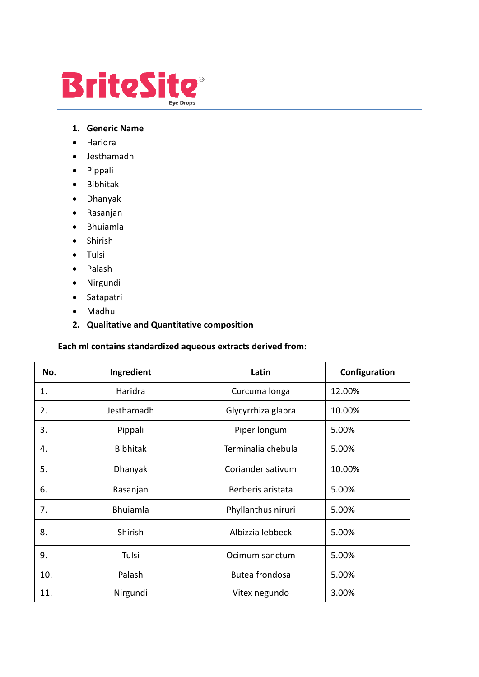

#### **1. Generic Name**

- Haridra
- Jesthamadh
- Pippali
- Bibhitak
- Dhanyak
- Rasanjan
- Bhuiamla
- Shirish
- Tulsi
- Palash
- Nirgundi
- Satapatri
- Madhu
- **2. Qualitative and Quantitative composition**

#### **Each ml contains standardized aqueous extracts derived from:**

| No. | Ingredient      | Latin              | Configuration |
|-----|-----------------|--------------------|---------------|
| 1.  | Haridra         | Curcuma longa      | 12.00%        |
| 2.  | Jesthamadh      | Glycyrrhiza glabra | 10.00%        |
| 3.  | Pippali         | Piper longum       | 5.00%         |
| 4.  | <b>Bibhitak</b> | Terminalia chebula | 5.00%         |
| 5.  | Dhanyak         | Coriander sativum  | 10.00%        |
| 6.  | Rasanjan        | Berberis aristata  | 5.00%         |
| 7.  | <b>Bhuiamla</b> | Phyllanthus niruri | 5.00%         |
| 8.  | Shirish         | Albizzia lebbeck   | 5.00%         |
| 9.  | Tulsi           | Ocimum sanctum     | 5.00%         |
| 10. | Palash          | Butea frondosa     | 5.00%         |
| 11. | Nirgundi        | Vitex negundo      | 3.00%         |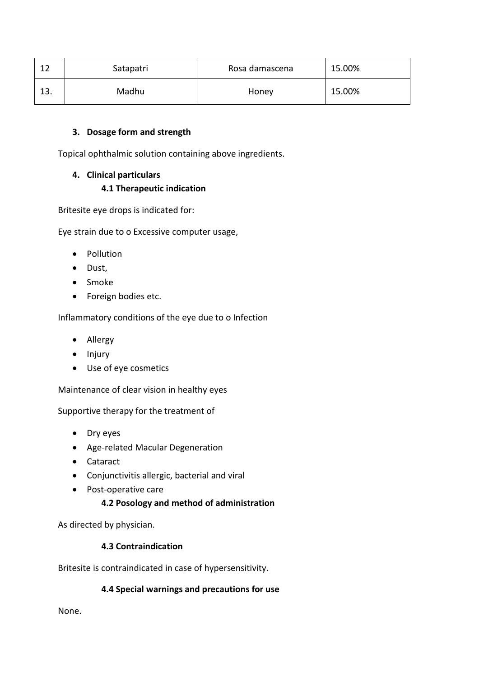|     | Satapatri | Rosa damascena | 15.00% |
|-----|-----------|----------------|--------|
| ⊥J. | Madhu     | Honey          | 15.00% |

#### **3. Dosage form and strength**

Topical ophthalmic solution containing above ingredients.

# **4. Clinical particulars**

# **4.1 Therapeutic indication**

Britesite eye drops is indicated for:

Eye strain due to o Excessive computer usage,

- Pollution
- Dust,
- Smoke
- Foreign bodies etc.

Inflammatory conditions of the eye due to o Infection

- Allergy
- Injury
- Use of eye cosmetics

Maintenance of clear vision in healthy eyes

Supportive therapy for the treatment of

- Dry eyes
- Age-related Macular Degeneration
- Cataract
- Conjunctivitis allergic, bacterial and viral
- Post-operative care

# **4.2 Posology and method of administration**

As directed by physician.

# **4.3 Contraindication**

Britesite is contraindicated in case of hypersensitivity.

# **4.4 Special warnings and precautions for use**

None.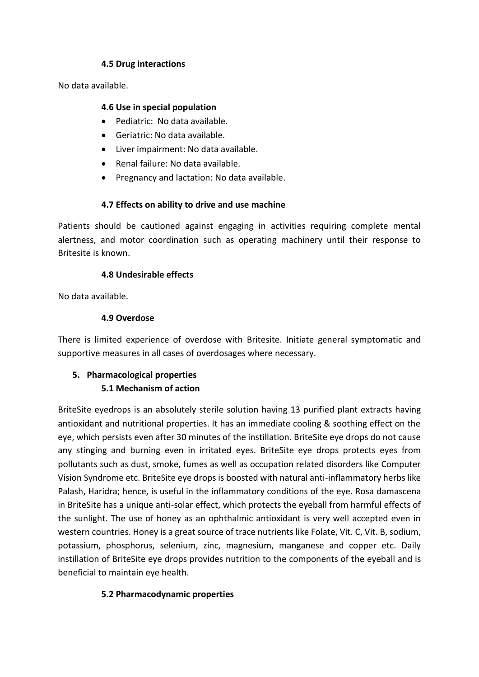#### **4.5 Drug interactions**

No data available.

#### **4.6 Use in special population**

- Pediatric: No data available.
- Geriatric: No data available.
- Liver impairment: No data available.
- Renal failure: No data available.
- Pregnancy and lactation: No data available.

# **4.7 Effects on ability to drive and use machine**

Patients should be cautioned against engaging in activities requiring complete mental alertness, and motor coordination such as operating machinery until their response to Britesite is known.

#### **4.8 Undesirable effects**

No data available.

#### **4.9 Overdose**

There is limited experience of overdose with Britesite. Initiate general symptomatic and supportive measures in all cases of overdosages where necessary.

# **5. Pharmacological properties 5.1 Mechanism of action**

BriteSite eyedrops is an absolutely sterile solution having 13 purified plant extracts having antioxidant and nutritional properties. It has an immediate cooling & soothing effect on the eye, which persists even after 30 minutes of the instillation. BriteSite eye drops do not cause any stinging and burning even in irritated eyes. BriteSite eye drops protects eyes from pollutants such as dust, smoke, fumes as well as occupation related disorders like Computer Vision Syndrome etc. BriteSite eye drops is boosted with natural anti-inflammatory herbs like Palash, Haridra; hence, is useful in the inflammatory conditions of the eye. Rosa damascena in BriteSite has a unique anti-solar effect, which protects the eyeball from harmful effects of the sunlight. The use of honey as an ophthalmic antioxidant is very well accepted even in western countries. Honey is a great source of trace nutrients like Folate, Vit. C, Vit. B, sodium, potassium, phosphorus, selenium, zinc, magnesium, manganese and copper etc. Daily instillation of BriteSite eye drops provides nutrition to the components of the eyeball and is beneficial to maintain eye health.

# **5.2 Pharmacodynamic properties**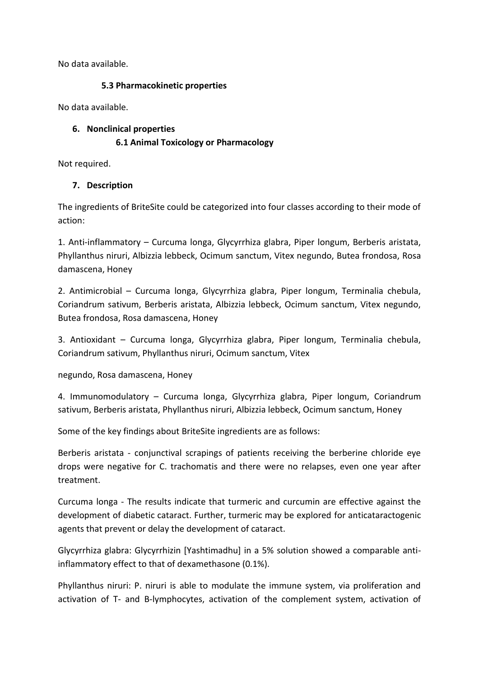No data available.

#### **5.3 Pharmacokinetic properties**

No data available.

#### **6. Nonclinical properties**

# **6.1 Animal Toxicology or Pharmacology**

Not required.

# **7. Description**

The ingredients of BriteSite could be categorized into four classes according to their mode of action:

1. Anti-inflammatory – Curcuma longa, Glycyrrhiza glabra, Piper longum, Berberis aristata, Phyllanthus niruri, Albizzia lebbeck, Ocimum sanctum, Vitex negundo, Butea frondosa, Rosa damascena, Honey

2. Antimicrobial – Curcuma longa, Glycyrrhiza glabra, Piper longum, Terminalia chebula, Coriandrum sativum, Berberis aristata, Albizzia lebbeck, Ocimum sanctum, Vitex negundo, Butea frondosa, Rosa damascena, Honey

3. Antioxidant – Curcuma longa, Glycyrrhiza glabra, Piper longum, Terminalia chebula, Coriandrum sativum, Phyllanthus niruri, Ocimum sanctum, Vitex

negundo, Rosa damascena, Honey

4. Immunomodulatory – Curcuma longa, Glycyrrhiza glabra, Piper longum, Coriandrum sativum, Berberis aristata, Phyllanthus niruri, Albizzia lebbeck, Ocimum sanctum, Honey

Some of the key findings about BriteSite ingredients are as follows:

Berberis aristata - conjunctival scrapings of patients receiving the berberine chloride eye drops were negative for C. trachomatis and there were no relapses, even one year after treatment.

Curcuma longa - The results indicate that turmeric and curcumin are effective against the development of diabetic cataract. Further, turmeric may be explored for anticataractogenic agents that prevent or delay the development of cataract.

Glycyrrhiza glabra: Glycyrrhizin [Yashtimadhu] in a 5% solution showed a comparable antiinflammatory effect to that of dexamethasone (0.1%).

Phyllanthus niruri: P. niruri is able to modulate the immune system, via proliferation and activation of T- and B-lymphocytes, activation of the complement system, activation of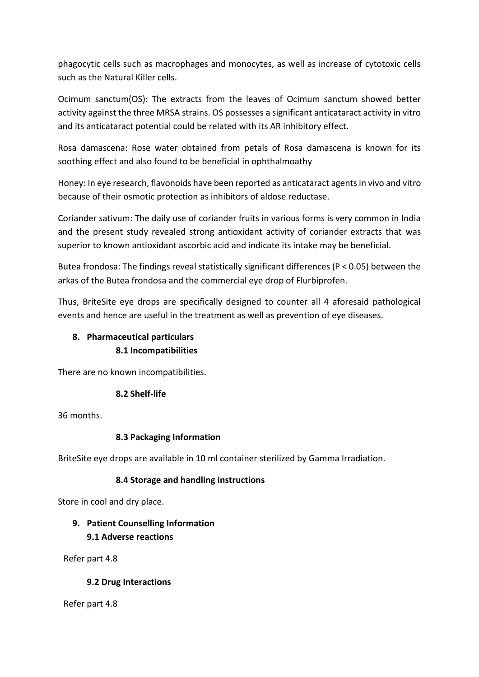phagocytic cells such as macrophages and monocytes, as well as increase of cytotoxic cells such as the Natural Killer cells.

Ocimum sanctum(OS): The extracts from the leaves of Ocimum sanctum showed better activity against the three MRSA strains. OS possesses a significant anticataract activity in vitro and its anticataract potential could be related with its AR inhibitory effect.

Rosa damascena: Rose water obtained from petals of Rosa damascena is known for its soothing effect and also found to be beneficial in ophthalmoathy

Honey: In eye research, flavonoids have been reported as anticataract agents in vivo and vitro because of their osmotic protection as inhibitors of aldose reductase.

Coriander sativum: The daily use of coriander fruits in various forms is very common in India and the present study revealed strong antioxidant activity of coriander extracts that was superior to known antioxidant ascorbic acid and indicate its intake may be beneficial.

Butea frondosa: The findings reveal statistically significant differences (P < 0.05) between the arkas of the Butea frondosa and the commercial eye drop of Flurbiprofen.

Thus, BriteSite eye drops are specifically designed to counter all 4 aforesaid pathological events and hence are useful in the treatment as well as prevention of eye diseases.

# **8. Pharmaceutical particulars 8.1 Incompatibilities**

There are no known incompatibilities.

# **8.2 Shelf-life**

36 months.

# **8.3 Packaging Information**

BriteSite eye drops are available in 10 ml container sterilized by Gamma Irradiation.

# **8.4 Storage and handling instructions**

Store in cool and dry place.

# **9. Patient Counselling Information 9.1 Adverse reactions**

Refer part 4.8

# **9.2 Drug Interactions**

Refer part 4.8